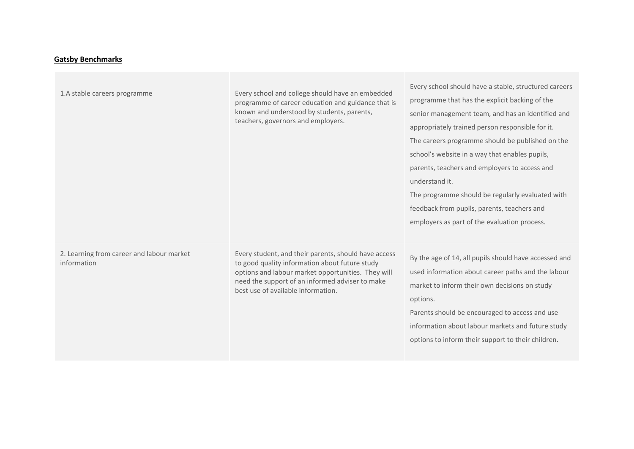## **Gatsby Benchmarks**

| 1.A stable careers programme                             | Every school and college should have an embedded<br>programme of career education and guidance that is<br>known and understood by students, parents,<br>teachers, governors and employers.                                                            | Every school should have a stable, structured careers<br>programme that has the explicit backing of the<br>senior management team, and has an identified and<br>appropriately trained person responsible for it.<br>The careers programme should be published on the<br>school's website in a way that enables pupils,<br>parents, teachers and employers to access and<br>understand it.<br>The programme should be regularly evaluated with<br>feedback from pupils, parents, teachers and<br>employers as part of the evaluation process. |
|----------------------------------------------------------|-------------------------------------------------------------------------------------------------------------------------------------------------------------------------------------------------------------------------------------------------------|----------------------------------------------------------------------------------------------------------------------------------------------------------------------------------------------------------------------------------------------------------------------------------------------------------------------------------------------------------------------------------------------------------------------------------------------------------------------------------------------------------------------------------------------|
| 2. Learning from career and labour market<br>information | Every student, and their parents, should have access<br>to good quality information about future study<br>options and labour market opportunities. They will<br>need the support of an informed adviser to make<br>best use of available information. | By the age of 14, all pupils should have accessed and<br>used information about career paths and the labour<br>market to inform their own decisions on study<br>options.<br>Parents should be encouraged to access and use<br>information about labour markets and future study<br>options to inform their support to their children.                                                                                                                                                                                                        |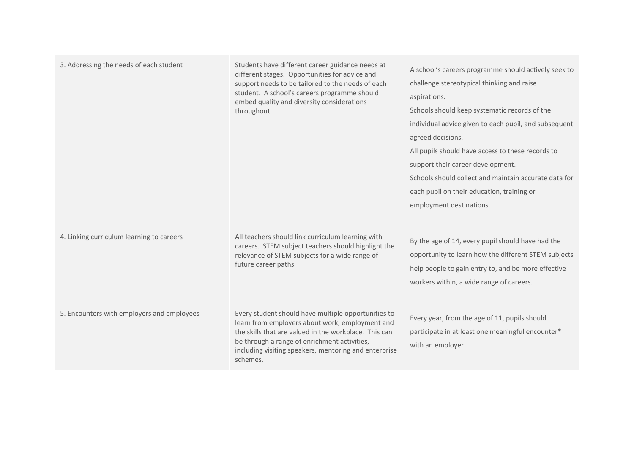| 3. Addressing the needs of each student    | Students have different career guidance needs at<br>different stages. Opportunities for advice and<br>support needs to be tailored to the needs of each<br>student. A school's careers programme should<br>embed quality and diversity considerations<br>throughout.                 | A school's careers programme should actively seek to<br>challenge stereotypical thinking and raise<br>aspirations.<br>Schools should keep systematic records of the<br>individual advice given to each pupil, and subsequent<br>agreed decisions.<br>All pupils should have access to these records to<br>support their career development.<br>Schools should collect and maintain accurate data for<br>each pupil on their education, training or<br>employment destinations. |
|--------------------------------------------|--------------------------------------------------------------------------------------------------------------------------------------------------------------------------------------------------------------------------------------------------------------------------------------|--------------------------------------------------------------------------------------------------------------------------------------------------------------------------------------------------------------------------------------------------------------------------------------------------------------------------------------------------------------------------------------------------------------------------------------------------------------------------------|
| 4. Linking curriculum learning to careers  | All teachers should link curriculum learning with<br>careers. STEM subject teachers should highlight the<br>relevance of STEM subjects for a wide range of<br>future career paths.                                                                                                   | By the age of 14, every pupil should have had the<br>opportunity to learn how the different STEM subjects<br>help people to gain entry to, and be more effective<br>workers within, a wide range of careers.                                                                                                                                                                                                                                                                   |
| 5. Encounters with employers and employees | Every student should have multiple opportunities to<br>learn from employers about work, employment and<br>the skills that are valued in the workplace. This can<br>be through a range of enrichment activities,<br>including visiting speakers, mentoring and enterprise<br>schemes. | Every year, from the age of 11, pupils should<br>participate in at least one meaningful encounter*<br>with an employer.                                                                                                                                                                                                                                                                                                                                                        |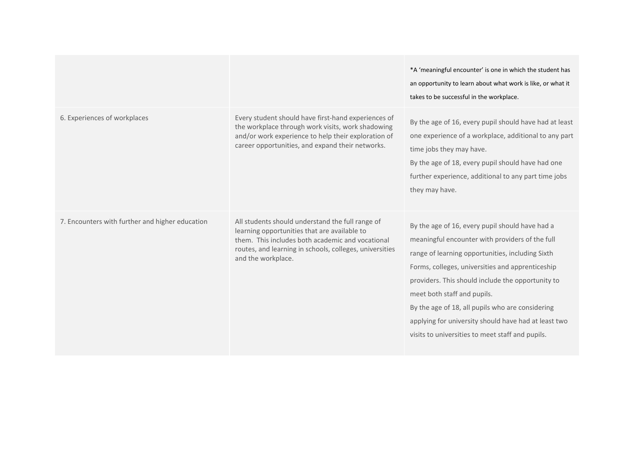|                                                 |                                                                                                                                                                                                                                       | *A 'meaningful encounter' is one in which the student has<br>an opportunity to learn about what work is like, or what it<br>takes to be successful in the workplace.                                                                                                                                                                                                                                                                                           |
|-------------------------------------------------|---------------------------------------------------------------------------------------------------------------------------------------------------------------------------------------------------------------------------------------|----------------------------------------------------------------------------------------------------------------------------------------------------------------------------------------------------------------------------------------------------------------------------------------------------------------------------------------------------------------------------------------------------------------------------------------------------------------|
| 6. Experiences of workplaces                    | Every student should have first-hand experiences of<br>the workplace through work visits, work shadowing<br>and/or work experience to help their exploration of<br>career opportunities, and expand their networks.                   | By the age of 16, every pupil should have had at least<br>one experience of a workplace, additional to any part<br>time jobs they may have.<br>By the age of 18, every pupil should have had one<br>further experience, additional to any part time jobs<br>they may have.                                                                                                                                                                                     |
| 7. Encounters with further and higher education | All students should understand the full range of<br>learning opportunities that are available to<br>them. This includes both academic and vocational<br>routes, and learning in schools, colleges, universities<br>and the workplace. | By the age of 16, every pupil should have had a<br>meaningful encounter with providers of the full<br>range of learning opportunities, including Sixth<br>Forms, colleges, universities and apprenticeship<br>providers. This should include the opportunity to<br>meet both staff and pupils.<br>By the age of 18, all pupils who are considering<br>applying for university should have had at least two<br>visits to universities to meet staff and pupils. |